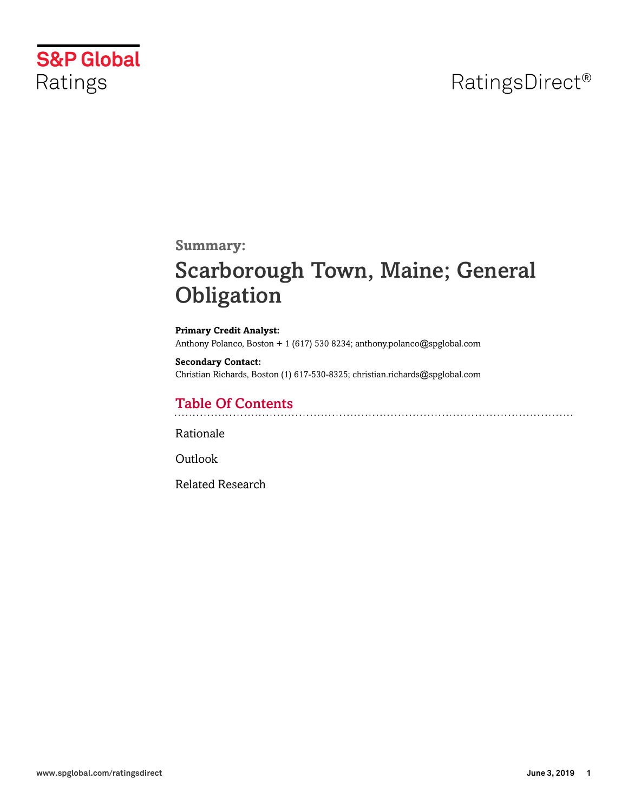# RatingsDirect<sup>®</sup>



**Summary:**

# Scarborough Town, Maine; General **Obligation**

**Primary Credit Analyst:** Anthony Polanco, Boston + 1 (617) 530 8234; anthony.polanco@spglobal.com

**Secondary Contact:** Christian Richards, Boston (1) 617-530-8325; christian.richards@spglobal.com

## Table Of Contents

[Rationale](#page-1-0)

[Outlook](#page-4-0)

[Related Research](#page-5-0)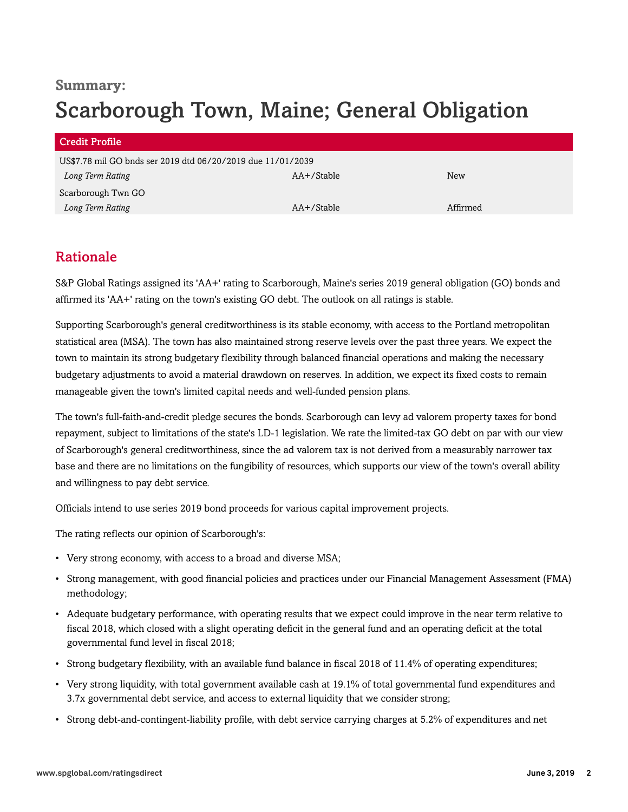## **Summary:** Scarborough Town, Maine; General Obligation

| <b>Credit Profile</b>                                       |            |          |
|-------------------------------------------------------------|------------|----------|
| US\$7.78 mil GO bnds ser 2019 dtd 06/20/2019 due 11/01/2039 |            |          |
| Long Term Rating                                            | AA+/Stable | New      |
| Scarborough Twn GO                                          |            |          |
| Long Term Rating                                            | AA+/Stable | Affirmed |

## <span id="page-1-0"></span>Rationale

S&P Global Ratings assigned its 'AA+' rating to Scarborough, Maine's series 2019 general obligation (GO) bonds and affirmed its 'AA+' rating on the town's existing GO debt. The outlook on all ratings is stable.

Supporting Scarborough's general creditworthiness is its stable economy, with access to the Portland metropolitan statistical area (MSA). The town has also maintained strong reserve levels over the past three years. We expect the town to maintain its strong budgetary flexibility through balanced financial operations and making the necessary budgetary adjustments to avoid a material drawdown on reserves. In addition, we expect its fixed costs to remain manageable given the town's limited capital needs and well-funded pension plans.

The town's full-faith-and-credit pledge secures the bonds. Scarborough can levy ad valorem property taxes for bond repayment, subject to limitations of the state's LD-1 legislation. We rate the limited-tax GO debt on par with our view of Scarborough's general creditworthiness, since the ad valorem tax is not derived from a measurably narrower tax base and there are no limitations on the fungibility of resources, which supports our view of the town's overall ability and willingness to pay debt service.

Officials intend to use series 2019 bond proceeds for various capital improvement projects.

The rating reflects our opinion of Scarborough's:

- Very strong economy, with access to a broad and diverse MSA;
- Strong management, with good financial policies and practices under our Financial Management Assessment (FMA) methodology;
- Adequate budgetary performance, with operating results that we expect could improve in the near term relative to fiscal 2018, which closed with a slight operating deficit in the general fund and an operating deficit at the total governmental fund level in fiscal 2018;
- Strong budgetary flexibility, with an available fund balance in fiscal 2018 of 11.4% of operating expenditures;
- Very strong liquidity, with total government available cash at 19.1% of total governmental fund expenditures and 3.7x governmental debt service, and access to external liquidity that we consider strong;
- Strong debt-and-contingent-liability profile, with debt service carrying charges at 5.2% of expenditures and net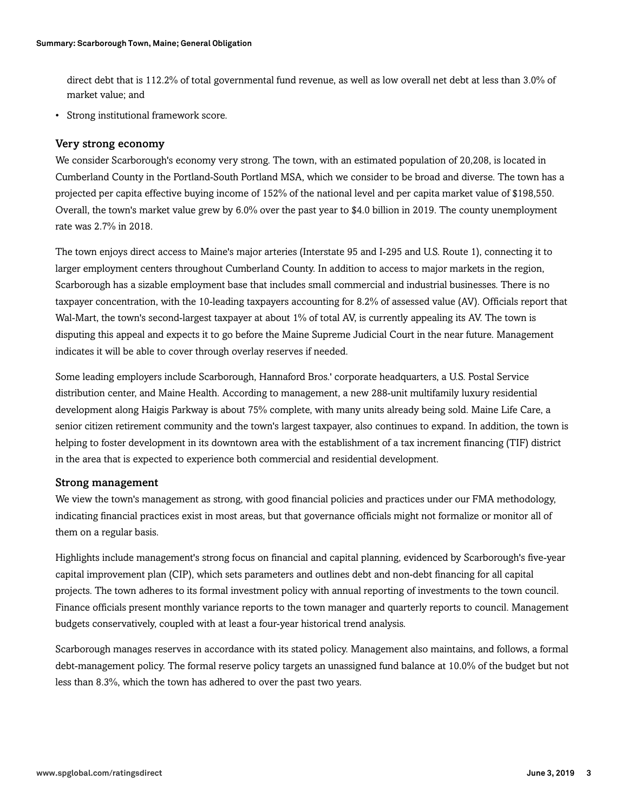direct debt that is 112.2% of total governmental fund revenue, as well as low overall net debt at less than 3.0% of market value; and

• Strong institutional framework score.

#### Very strong economy

We consider Scarborough's economy very strong. The town, with an estimated population of 20,208, is located in Cumberland County in the Portland-South Portland MSA, which we consider to be broad and diverse. The town has a projected per capita effective buying income of 152% of the national level and per capita market value of \$198,550. Overall, the town's market value grew by 6.0% over the past year to \$4.0 billion in 2019. The county unemployment rate was 2.7% in 2018.

The town enjoys direct access to Maine's major arteries (Interstate 95 and I-295 and U.S. Route 1), connecting it to larger employment centers throughout Cumberland County. In addition to access to major markets in the region, Scarborough has a sizable employment base that includes small commercial and industrial businesses. There is no taxpayer concentration, with the 10-leading taxpayers accounting for 8.2% of assessed value (AV). Officials report that Wal-Mart, the town's second-largest taxpayer at about 1% of total AV, is currently appealing its AV. The town is disputing this appeal and expects it to go before the Maine Supreme Judicial Court in the near future. Management indicates it will be able to cover through overlay reserves if needed.

Some leading employers include Scarborough, Hannaford Bros.' corporate headquarters, a U.S. Postal Service distribution center, and Maine Health. According to management, a new 288-unit multifamily luxury residential development along Haigis Parkway is about 75% complete, with many units already being sold. Maine Life Care, a senior citizen retirement community and the town's largest taxpayer, also continues to expand. In addition, the town is helping to foster development in its downtown area with the establishment of a tax increment financing (TIF) district in the area that is expected to experience both commercial and residential development.

#### Strong management

We view the town's management as strong, with good financial policies and practices under our FMA methodology, indicating financial practices exist in most areas, but that governance officials might not formalize or monitor all of them on a regular basis.

Highlights include management's strong focus on financial and capital planning, evidenced by Scarborough's five-year capital improvement plan (CIP), which sets parameters and outlines debt and non-debt financing for all capital projects. The town adheres to its formal investment policy with annual reporting of investments to the town council. Finance officials present monthly variance reports to the town manager and quarterly reports to council. Management budgets conservatively, coupled with at least a four-year historical trend analysis.

Scarborough manages reserves in accordance with its stated policy. Management also maintains, and follows, a formal debt-management policy. The formal reserve policy targets an unassigned fund balance at 10.0% of the budget but not less than 8.3%, which the town has adhered to over the past two years.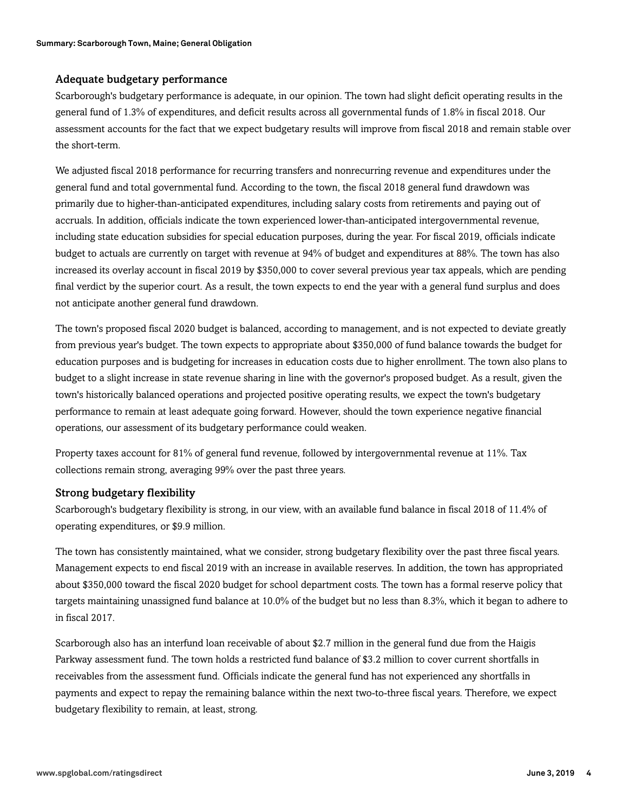#### Adequate budgetary performance

Scarborough's budgetary performance is adequate, in our opinion. The town had slight deficit operating results in the general fund of 1.3% of expenditures, and deficit results across all governmental funds of 1.8% in fiscal 2018. Our assessment accounts for the fact that we expect budgetary results will improve from fiscal 2018 and remain stable over the short-term.

We adjusted fiscal 2018 performance for recurring transfers and nonrecurring revenue and expenditures under the general fund and total governmental fund. According to the town, the fiscal 2018 general fund drawdown was primarily due to higher-than-anticipated expenditures, including salary costs from retirements and paying out of accruals. In addition, officials indicate the town experienced lower-than-anticipated intergovernmental revenue, including state education subsidies for special education purposes, during the year. For fiscal 2019, officials indicate budget to actuals are currently on target with revenue at 94% of budget and expenditures at 88%. The town has also increased its overlay account in fiscal 2019 by \$350,000 to cover several previous year tax appeals, which are pending final verdict by the superior court. As a result, the town expects to end the year with a general fund surplus and does not anticipate another general fund drawdown.

The town's proposed fiscal 2020 budget is balanced, according to management, and is not expected to deviate greatly from previous year's budget. The town expects to appropriate about \$350,000 of fund balance towards the budget for education purposes and is budgeting for increases in education costs due to higher enrollment. The town also plans to budget to a slight increase in state revenue sharing in line with the governor's proposed budget. As a result, given the town's historically balanced operations and projected positive operating results, we expect the town's budgetary performance to remain at least adequate going forward. However, should the town experience negative financial operations, our assessment of its budgetary performance could weaken.

Property taxes account for 81% of general fund revenue, followed by intergovernmental revenue at 11%. Tax collections remain strong, averaging 99% over the past three years.

#### Strong budgetary flexibility

Scarborough's budgetary flexibility is strong, in our view, with an available fund balance in fiscal 2018 of 11.4% of operating expenditures, or \$9.9 million.

The town has consistently maintained, what we consider, strong budgetary flexibility over the past three fiscal years. Management expects to end fiscal 2019 with an increase in available reserves. In addition, the town has appropriated about \$350,000 toward the fiscal 2020 budget for school department costs. The town has a formal reserve policy that targets maintaining unassigned fund balance at 10.0% of the budget but no less than 8.3%, which it began to adhere to in fiscal 2017.

Scarborough also has an interfund loan receivable of about \$2.7 million in the general fund due from the Haigis Parkway assessment fund. The town holds a restricted fund balance of \$3.2 million to cover current shortfalls in receivables from the assessment fund. Officials indicate the general fund has not experienced any shortfalls in payments and expect to repay the remaining balance within the next two-to-three fiscal years. Therefore, we expect budgetary flexibility to remain, at least, strong.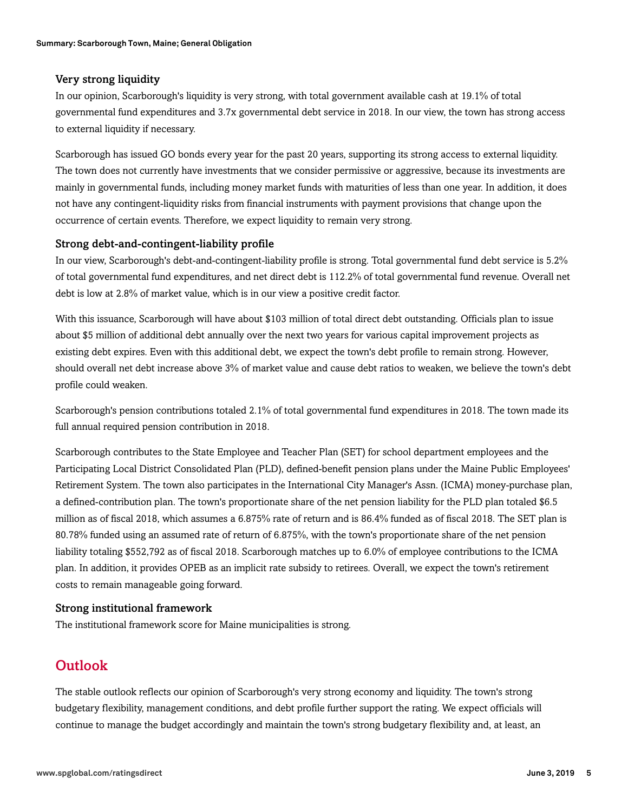#### Very strong liquidity

In our opinion, Scarborough's liquidity is very strong, with total government available cash at 19.1% of total governmental fund expenditures and 3.7x governmental debt service in 2018. In our view, the town has strong access to external liquidity if necessary.

Scarborough has issued GO bonds every year for the past 20 years, supporting its strong access to external liquidity. The town does not currently have investments that we consider permissive or aggressive, because its investments are mainly in governmental funds, including money market funds with maturities of less than one year. In addition, it does not have any contingent-liquidity risks from financial instruments with payment provisions that change upon the occurrence of certain events. Therefore, we expect liquidity to remain very strong.

#### Strong debt-and-contingent-liability profile

In our view, Scarborough's debt-and-contingent-liability profile is strong. Total governmental fund debt service is 5.2% of total governmental fund expenditures, and net direct debt is 112.2% of total governmental fund revenue. Overall net debt is low at 2.8% of market value, which is in our view a positive credit factor.

With this issuance, Scarborough will have about \$103 million of total direct debt outstanding. Officials plan to issue about \$5 million of additional debt annually over the next two years for various capital improvement projects as existing debt expires. Even with this additional debt, we expect the town's debt profile to remain strong. However, should overall net debt increase above 3% of market value and cause debt ratios to weaken, we believe the town's debt profile could weaken.

Scarborough's pension contributions totaled 2.1% of total governmental fund expenditures in 2018. The town made its full annual required pension contribution in 2018.

Scarborough contributes to the State Employee and Teacher Plan (SET) for school department employees and the Participating Local District Consolidated Plan (PLD), defined-benefit pension plans under the Maine Public Employees' Retirement System. The town also participates in the International City Manager's Assn. (ICMA) money-purchase plan, a defined-contribution plan. The town's proportionate share of the net pension liability for the PLD plan totaled \$6.5 million as of fiscal 2018, which assumes a 6.875% rate of return and is 86.4% funded as of fiscal 2018. The SET plan is 80.78% funded using an assumed rate of return of 6.875%, with the town's proportionate share of the net pension liability totaling \$552,792 as of fiscal 2018. Scarborough matches up to 6.0% of employee contributions to the ICMA plan. In addition, it provides OPEB as an implicit rate subsidy to retirees. Overall, we expect the town's retirement costs to remain manageable going forward.

#### Strong institutional framework

<span id="page-4-0"></span>The institutional framework score for Maine municipalities is strong.

### **Outlook**

The stable outlook reflects our opinion of Scarborough's very strong economy and liquidity. The town's strong budgetary flexibility, management conditions, and debt profile further support the rating. We expect officials will continue to manage the budget accordingly and maintain the town's strong budgetary flexibility and, at least, an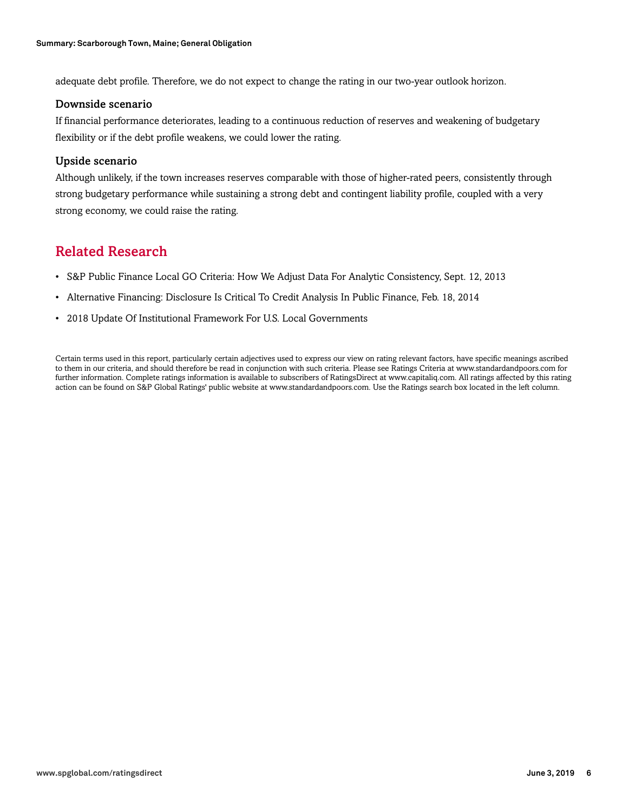adequate debt profile. Therefore, we do not expect to change the rating in our two-year outlook horizon.

#### Downside scenario

If financial performance deteriorates, leading to a continuous reduction of reserves and weakening of budgetary flexibility or if the debt profile weakens, we could lower the rating.

#### Upside scenario

Although unlikely, if the town increases reserves comparable with those of higher-rated peers, consistently through strong budgetary performance while sustaining a strong debt and contingent liability profile, coupled with a very strong economy, we could raise the rating.

### <span id="page-5-0"></span>Related Research

- S&P Public Finance Local GO Criteria: How We Adjust Data For Analytic Consistency, Sept. 12, 2013
- Alternative Financing: Disclosure Is Critical To Credit Analysis In Public Finance, Feb. 18, 2014
- 2018 Update Of Institutional Framework For U.S. Local Governments

Certain terms used in this report, particularly certain adjectives used to express our view on rating relevant factors, have specific meanings ascribed to them in our criteria, and should therefore be read in conjunction with such criteria. Please see Ratings Criteria at www.standardandpoors.com for further information. Complete ratings information is available to subscribers of RatingsDirect at www.capitaliq.com. All ratings affected by this rating action can be found on S&P Global Ratings' public website at www.standardandpoors.com. Use the Ratings search box located in the left column.